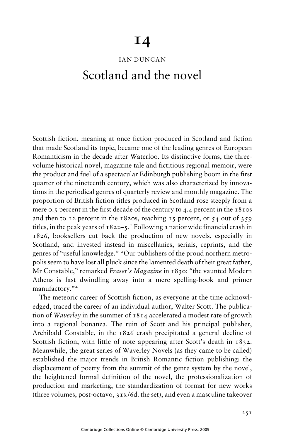# IAN DUNCAN Scotland and the novel

Scottish fiction, meaning at once fiction produced in Scotland and fiction that made Scotland its topic, became one of the leading genres of European Romanticism in the decade after Waterloo. Its distinctive forms, the threevolume historical novel, magazine tale and fictitious regional memoir, were the product and fuel of a spectacular Edinburgh publishing boom in the first quarter of the nineteenth century, which was also characterized by innovations in the periodical genres of quarterly review and monthly magazine. The proportion of British fiction titles produced in Scotland rose steeply from a mere 0.5 percent in the first decade of the century to 4.4 percent in the 1810s and then to 12 percent in the 1820s, reaching 15 percent, or 54 out of 359 titles, in the peak years of 1822–5. <sup>1</sup> Following a nationwide financial crash in 1826, booksellers cut back the production of new novels, especially in Scotland, and invested instead in miscellanies, serials, reprints, and the genres of ''useful knowledge.'' ''Our publishers of the proud northern metropolis seem to have lost all pluck since the lamented death of their great father, Mr Constable," remarked *Fraser's Magazine* in 1830: "the vaunted Modern Athens is fast dwindling away into a mere spelling-book and primer manufactory."<sup>2</sup>

The meteoric career of Scottish fiction, as everyone at the time acknowledged, traced the career of an individual author, Walter Scott. The publication of *Waverley* in the summer of  $1814$  accelerated a modest rate of growth into a regional bonanza. The ruin of Scott and his principal publisher, Archibald Constable, in the 1826 crash precipitated a general decline of Scottish fiction, with little of note appearing after Scott's death in 1832. Meanwhile, the great series of Waverley Novels (as they came to be called) established the major trends in British Romantic fiction publishing: the displacement of poetry from the summit of the genre system by the novel, the heightened formal definition of the novel, the professionalization of production and marketing, the standardization of format for new works (three volumes, post-octavo, 31s./6d. the set), and even a masculine takeover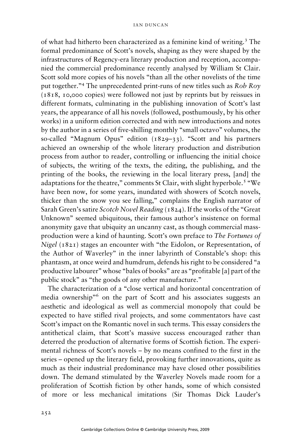of what had hitherto been characterized as a feminine kind of writing.<sup>3</sup> The formal predominance of Scott's novels, shaping as they were shaped by the infrastructures of Regency-era literary production and reception, accompanied the commercial predominance recently analysed by William St Clair. Scott sold more copies of his novels ''than all the other novelists of the time put together."<sup>4</sup> The unprecedented print-runs of new titles such as Rob Roy (1818, 10,000 copies) were followed not just by reprints but by reissues in different formats, culminating in the publishing innovation of Scott's last years, the appearance of all his novels (followed, posthumously, by his other works) in a uniform edition corrected and with new introductions and notes by the author in a series of five-shilling monthly ''small octavo'' volumes, the so-called "Magnum Opus" edition  $(1829-33)$ . "Scott and his partners achieved an ownership of the whole literary production and distribution process from author to reader, controlling or influencing the initial choice of subjects, the writing of the texts, the editing, the publishing, and the printing of the books, the reviewing in the local literary press, [and] the adaptations for the theatre," comments St Clair, with slight hyperbole.<sup>5</sup> "We have been now, for some years, inundated with showers of Scotch novels, thicker than the snow you see falling,'' complains the English narrator of Sarah Green's satire *Scotch Novel Reading* (1824). If the works of the "Great" Unknown'' seemed ubiquitous, their famous author's insistence on formal anonymity gave that ubiquity an uncanny cast, as though commercial massproduction were a kind of haunting. Scott's own preface to The Fortunes of Nigel (1821) stages an encounter with ''the Eidolon, or Representation, of the Author of Waverley'' in the inner labyrinth of Constable's shop: this phantasm, at once weird and humdrum, defends his right to be considered ''a productive labourer'' whose ''bales of books'' are as ''profitable [a] part of the public stock'' as ''the goods of any other manufacture.''

The characterization of a ''close vertical and horizontal concentration of media ownership<sup>36</sup> on the part of Scott and his associates suggests an aesthetic and ideological as well as commercial monopoly that could be expected to have stifled rival projects, and some commentators have cast Scott's impact on the Romantic novel in such terms. This essay considers the antithetical claim, that Scott's massive success encouraged rather than deterred the production of alternative forms of Scottish fiction. The experimental richness of Scott's novels – by no means confined to the first in the series – opened up the literary field, provoking further innovations, quite as much as their industrial predominance may have closed other possibilities down. The demand stimulated by the Waverley Novels made room for a proliferation of Scottish fiction by other hands, some of which consisted of more or less mechanical imitations (Sir Thomas Dick Lauder's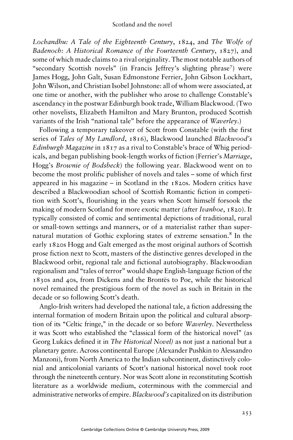## Scotland and the novel

Lochandhu: A Tale of the Eighteenth Century, 1824, and The Wolfe of Badenoch: A Historical Romance of the Fourteenth Century, 1827), and some of which made claims to a rival originality. The most notable authors of "secondary Scottish novels" (in Francis Jeffrey's slighting phrase7) were James Hogg, John Galt, Susan Edmonstone Ferrier, John Gibson Lockhart, John Wilson, and Christian Isobel Johnstone: all of whom were associated, at one time or another, with the publisher who arose to challenge Constable's ascendancy in the postwar Edinburgh book trade, William Blackwood. (Two other novelists, Elizabeth Hamilton and Mary Brunton, produced Scottish variants of the Irish "national tale" before the appearance of *Waverley*.)

Following a temporary takeover of Scott from Constable (with the first series of Tales of My Landlord, 1816), Blackwood launched Blackwood's Edinburgh Magazine in 1817 as a rival to Constable's brace of Whig periodicals, and began publishing book-length works of fiction (Ferrier's Marriage, Hogg's Brownie of Bodsbeck) the following year. Blackwood went on to become the most prolific publisher of novels and tales – some of which first appeared in his magazine – in Scotland in the 1820s. Modern critics have described a Blackwoodian school of Scottish Romantic fiction in competition with Scott's, flourishing in the years when Scott himself forsook the making of modern Scotland for more exotic matter (after *Ivanhoe*, 1820). It typically consisted of comic and sentimental depictions of traditional, rural or small-town settings and manners, or of a materialist rather than supernatural mutation of Gothic exploring states of extreme sensation.<sup>8</sup> In the early 1820s Hogg and Galt emerged as the most original authors of Scottish prose fiction next to Scott, masters of the distinctive genres developed in the Blackwood orbit, regional tale and fictional autobiography. Blackwoodian regionalism and ''tales of terror'' would shape English-language fiction of the 1830s and 40s, from Dickens and the Brontes to Poe, while the historical novel remained the prestigious form of the novel as such in Britain in the decade or so following Scott's death.

Anglo-Irish writers had developed the national tale, a fiction addressing the internal formation of modern Britain upon the political and cultural absorption of its "Celtic fringe," in the decade or so before Waverley. Nevertheless it was Scott who established the "classical form of the historical novel" (as Georg Lukács defined it in The Historical Novel) as not just a national but a planetary genre. Across continental Europe (Alexander Pushkin to Alessandro Manzoni), from North America to the Indian subcontinent, distinctively colonial and anticolonial variants of Scott's national historical novel took root through the nineteenth century. Nor was Scott alone in reconstituting Scottish literature as a worldwide medium, coterminous with the commercial and administrative networks of empire. Blackwood's capitalized on its distribution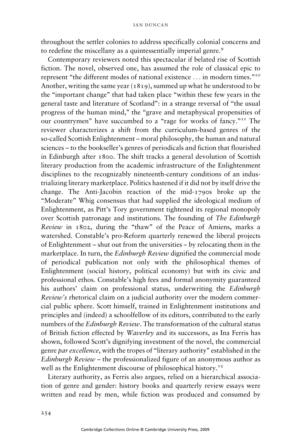throughout the settler colonies to address specifically colonial concerns and to redefine the miscellany as a quintessentially imperial genre.<sup>9</sup>

Contemporary reviewers noted this spectacular if belated rise of Scottish fiction. The novel, observed one, has assumed the role of classical epic to represent "the different modes of national existence ... in modern times."<sup>10</sup> Another, writing the same year  $(1819)$ , summed up what he understood to be the ''important change'' that had taken place ''within these few years in the general taste and literature of Scotland'': in a strange reversal of ''the usual progress of the human mind,'' the ''grave and metaphysical propensities of our countrymen" have succumbed to a "rage for works of fancy."<sup>11</sup> The reviewer characterizes a shift from the curriculum-based genres of the so-called Scottish Enlightenment – moral philosophy, the human and natural sciences – to the bookseller's genres of periodicals and fiction that flourished in Edinburgh after 1800. The shift tracks a general devolution of Scottish literary production from the academic infrastructure of the Enlightenment disciplines to the recognizably nineteenth-century conditions of an industrializing literary marketplace. Politics hastened if it did not by itself drive the change. The Anti-Jacobin reaction of the mid-1790s broke up the ''Moderate'' Whig consensus that had supplied the ideological medium of Enlightenment, as Pitt's Tory government tightened its regional monopoly over Scottish patronage and institutions. The founding of The Edinburgh Review in 1802, during the "thaw" of the Peace of Amiens, marks a watershed. Constable's pro-Reform quarterly renewed the liberal projects of Enlightenment – shut out from the universities – by relocating them in the marketplace. In turn, the *Edinburgh Review* dignified the commercial mode of periodical publication not only with the philosophical themes of Enlightenment (social history, political economy) but with its civic and professional ethos. Constable's high fees and formal anonymity guaranteed his authors' claim on professional status, underwriting the Edinburgh Review's rhetorical claim on a judicial authority over the modern commercial public sphere. Scott himself, trained in Enlightenment institutions and principles and (indeed) a schoolfellow of its editors, contributed to the early numbers of the Edinburgh Review. The transformation of the cultural status of British fiction effected by Waverley and its successors, as Ina Ferris has shown, followed Scott's dignifying investment of the novel, the commercial genre *par excellence*, with the tropes of "literary authority" established in the Edinburgh Review – the professionalized figure of an anonymous author as well as the Enlightenment discourse of philosophical history.<sup>12</sup>

Literary authority, as Ferris also argues, relied on a hierarchical association of genre and gender: history books and quarterly review essays were written and read by men, while fiction was produced and consumed by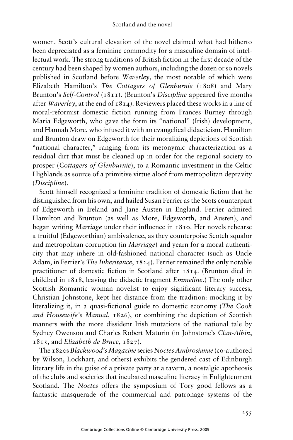women. Scott's cultural elevation of the novel claimed what had hitherto been depreciated as a feminine commodity for a masculine domain of intellectual work. The strong traditions of British fiction in the first decade of the century had been shaped by women authors, including the dozen or so novels published in Scotland before Waverley, the most notable of which were Elizabeth Hamilton's The Cottagers of Glenburnie (1808) and Mary Brunton's Self-Control (1811). (Brunton's Discipline appeared five months after Waverley, at the end of 1814). Reviewers placed these works in a line of moral-reformist domestic fiction running from Frances Burney through Maria Edgeworth, who gave the form its "national" (Irish) development, and Hannah More, who infused it with an evangelical didacticism. Hamilton and Brunton draw on Edgeworth for their moralizing depictions of Scottish "national character," ranging from its metonymic characterization as a residual dirt that must be cleaned up in order for the regional society to prosper (Cottagers of Glenburnie), to a Romantic investment in the Celtic Highlands as source of a primitive virtue aloof from metropolitan depravity (Discipline).

Scott himself recognized a feminine tradition of domestic fiction that he distinguished from his own, and hailed Susan Ferrier as the Scots counterpart of Edgeworth in Ireland and Jane Austen in England. Ferrier admired Hamilton and Brunton (as well as More, Edgeworth, and Austen), and began writing Marriage under their influence in 1810. Her novels rehearse a fruitful (Edgeworthian) ambivalence, as they counterpoise Scotch squalor and metropolitan corruption (in Marriage) and yearn for a moral authenticity that may inhere in old-fashioned national character (such as Uncle Adam, in Ferrier's The Inheritance, 1824). Ferrier remained the only notable practitioner of domestic fiction in Scotland after 1814. (Brunton died in childbed in  $1818$ , leaving the didactic fragment *Emmeline*.) The only other Scottish Romantic woman novelist to enjoy significant literary success, Christian Johnstone, kept her distance from the tradition: mocking it by literalizing it, in a quasi-fictional guide to domestic economy (The Cook and Housewife's Manual, 1826), or combining the depiction of Scottish manners with the more dissident Irish mutations of the national tale by Sydney Owenson and Charles Robert Maturin (in Johnstone's Clan-Albin, 1815, and Elizabeth de Bruce, 1827).

The 1820s Blackwood's Magazine series Noctes Ambrosianae (co-authored by Wilson, Lockhart, and others) exhibits the gendered cast of Edinburgh literary life in the guise of a private party at a tavern, a nostalgic apotheosis of the clubs and societies that incubated masculine literacy in Enlightenment Scotland. The Noctes offers the symposium of Tory good fellows as a fantastic masquerade of the commercial and patronage systems of the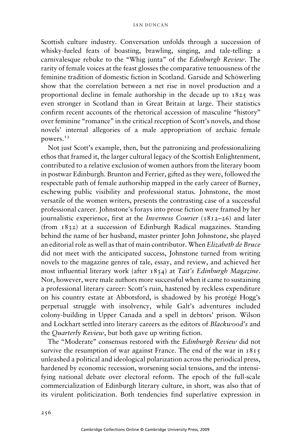Scottish culture industry. Conversation unfolds through a succession of whisky-fueled feats of boasting, brawling, singing, and tale-telling: a carnivalesque rebuke to the ''Whig junta'' of the Edinburgh Review. The rarity of female voices at the feast glosses the comparative tenuousness of the feminine tradition of domestic fiction in Scotland. Garside and Schöwerling show that the correlation between a net rise in novel production and a proportional decline in female authorship in the decade up to 1825 was even stronger in Scotland than in Great Britain at large. Their statistics confirm recent accounts of the rhetorical accession of masculine "history" over feminine "romance" in the critical reception of Scott's novels, and those novels' internal allegories of a male appropriation of archaic female powers.<sup>13</sup>

Not just Scott's example, then, but the patronizing and professionalizing ethos that framed it, the larger cultural legacy of the Scottish Enlightenment, contributed to a relative exclusion of women authors from the literary boom in postwar Edinburgh. Brunton and Ferrier, gifted as they were, followed the respectable path of female authorship mapped in the early career of Burney, eschewing public visibility and professional status. Johnstone, the most versatile of the women writers, presents the contrasting case of a successful professional career. Johnstone's forays into prose fiction were framed by her journalistic experience, first at the *Inverness Courier*  $(1812-26)$  and later (from 1832) at a succession of Edinburgh Radical magazines. Standing behind the name of her husband, master printer John Johnstone, she played an editorial role as well as that of main contributor. When Elizabeth de Bruce did not meet with the anticipated success, Johnstone turned from writing novels to the magazine genres of tale, essay, and review, and achieved her most influential literary work (after 1834) at Tait's Edinburgh Magazine. Nor, however, were male authors more successful when it came to sustaining a professional literary career: Scott's ruin, hastened by reckless expenditure on his country estate at Abbotsford, is shadowed by his protégé Hogg's perpetual struggle with insolvency, while Galt's adventures included colony-building in Upper Canada and a spell in debtors' prison. Wilson and Lockhart settled into literary careers as the editors of Blackwood's and the *Quarterly Review*, but both gave up writing fiction.

The "Moderate" consensus restored with the Edinburgh Review did not survive the resumption of war against France. The end of the war in 1815 unleashed a political and ideological polarization across the periodical press, hardened by economic recession, worsening social tensions, and the intensifying national debate over electoral reform. The epoch of the full-scale commercialization of Edinburgh literary culture, in short, was also that of its virulent politicization. Both tendencies find superlative expression in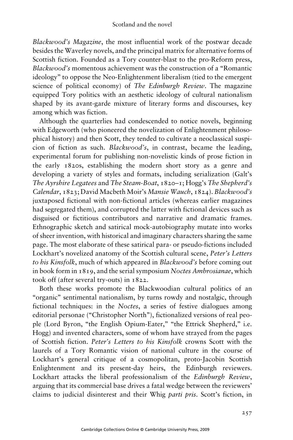Blackwood's Magazine, the most influential work of the postwar decade besides the Waverley novels, and the principal matrix for alternative forms of Scottish fiction. Founded as a Tory counter-blast to the pro-Reform press, Blackwood's momentous achievement was the construction of a ''Romantic ideology'' to oppose the Neo-Enlightenment liberalism (tied to the emergent science of political economy) of The Edinburgh Review. The magazine equipped Tory politics with an aesthetic ideology of cultural nationalism shaped by its avant-garde mixture of literary forms and discourses, key among which was fiction.

Although the quarterlies had condescended to notice novels, beginning with Edgeworth (who pioneered the novelization of Enlightenment philosophical history) and then Scott, they tended to cultivate a neoclassical suspicion of fiction as such. Blackwood's, in contrast, became the leading, experimental forum for publishing non-novelistic kinds of prose fiction in the early 1820s, establishing the modern short story as a genre and developing a variety of styles and formats, including serialization (Galt's The Ayrshire Legatees and The Steam-Boat, 1820–1; Hogg's The Shepherd's Calendar, 1823; David Macbeth Moir's Mansie Wauch, 1824). Blackwood's juxtaposed fictional with non-fictional articles (whereas earlier magazines had segregated them), and corrupted the latter with fictional devices such as disguised or fictitious contributors and narrative and dramatic frames. Ethnographic sketch and satirical mock-autobiography mutate into works of sheer invention, with historical and imaginary characters sharing the same page. The most elaborate of these satirical para- or pseudo-fictions included Lockhart's novelized anatomy of the Scottish cultural scene, Peter's Letters to his Kinsfolk, much of which appeared in Blackwood's before coming out in book form in 1819, and the serial symposium Noctes Ambrosianae, which took off (after several try-outs) in 1822.

Both these works promote the Blackwoodian cultural politics of an "organic" sentimental nationalism, by turns rowdy and nostalgic, through fictional techniques: in the Noctes, a series of festive dialogues among editorial personae (''Christopher North''), fictionalized versions of real people (Lord Byron, "the English Opium-Eater," "the Ettrick Shepherd," i.e. Hogg) and invented characters, some of whom have strayed from the pages of Scottish fiction. Peter's Letters to his Kinsfolk crowns Scott with the laurels of a Tory Romantic vision of national culture in the course of Lockhart's general critique of a cosmopolitan, proto-Jacobin Scottish Enlightenment and its present-day heirs, the Edinburgh reviewers. Lockhart attacks the liberal professionalism of the Edinburgh Review, arguing that its commercial base drives a fatal wedge between the reviewers' claims to judicial disinterest and their Whig parti pris. Scott's fiction, in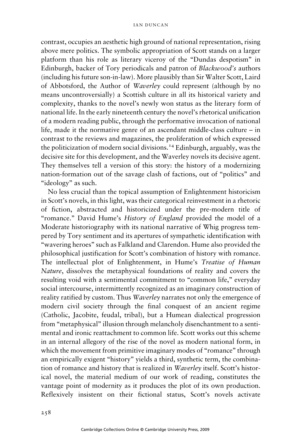contrast, occupies an aesthetic high ground of national representation, rising above mere politics. The symbolic appropriation of Scott stands on a larger platform than his role as literary viceroy of the ''Dundas despotism'' in Edinburgh, backer of Tory periodicals and patron of Blackwood's authors (including his future son-in-law). More plausibly than Sir Walter Scott, Laird of Abbotsford, the Author of Waverley could represent (although by no means uncontroversially) a Scottish culture in all its historical variety and complexity, thanks to the novel's newly won status as the literary form of national life. In the early nineteenth century the novel's rhetorical unification of a modern reading public, through the performative invocation of national life, made it the normative genre of an ascendant middle-class culture – in contrast to the reviews and magazines, the proliferation of which expressed the politicization of modern social divisions.<sup>14</sup> Edinburgh, arguably, was the decisive site for this development, and the Waverley novels its decisive agent. They themselves tell a version of this story: the history of a modernizing nation-formation out of the savage clash of factions, out of ''politics'' and "ideology" as such.

No less crucial than the topical assumption of Enlightenment historicism in Scott's novels, in this light, was their categorical reinvestment in a rhetoric of fiction, abstracted and historicized under the pre-modern title of "romance." David Hume's History of England provided the model of a Moderate historiography with its national narrative of Whig progress tempered by Tory sentiment and its apertures of sympathetic identification with ''wavering heroes'' such as Falkland and Clarendon. Hume also provided the philosophical justification for Scott's combination of history with romance. The intellectual plot of Enlightenment, in Hume's Treatise of Human Nature, dissolves the metaphysical foundations of reality and covers the resulting void with a sentimental commitment to "common life," everyday social intercourse, intermittently recognized as an imaginary construction of reality ratified by custom. Thus *Waverley* narrates not only the emergence of modern civil society through the final conquest of an ancient regime (Catholic, Jacobite, feudal, tribal), but a Humean dialectical progression from "metaphysical" illusion through melancholy disenchantment to a sentimental and ironic reattachment to common life. Scott works out this scheme in an internal allegory of the rise of the novel as modern national form, in which the movement from primitive imaginary modes of "romance" through an empirically exigent "history" yields a third, synthetic term, the combination of romance and history that is realized in *Waverley* itself. Scott's historical novel, the material medium of our work of reading, constitutes the vantage point of modernity as it produces the plot of its own production. Reflexively insistent on their fictional status, Scott's novels activate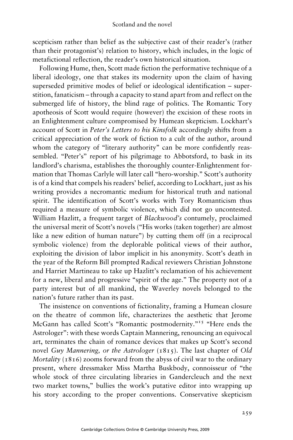scepticism rather than belief as the subjective cast of their reader's (rather than their protagonist's) relation to history, which includes, in the logic of metafictional reflection, the reader's own historical situation.

Following Hume, then, Scott made fiction the performative technique of a liberal ideology, one that stakes its modernity upon the claim of having superseded primitive modes of belief or ideological identification – superstition, fanaticism – through a capacity to stand apart from and reflect on the submerged life of history, the blind rage of politics. The Romantic Tory apotheosis of Scott would require (however) the excision of these roots in an Enlightenment culture compromised by Humean skepticism. Lockhart's account of Scott in Peter's Letters to his Kinsfolk accordingly shifts from a critical appreciation of the work of fiction to a cult of the author, around whom the category of "literary authority" can be more confidently reassembled. "Peter's" report of his pilgrimage to Abbotsford, to bask in its landlord's charisma, establishes the thoroughly counter-Enlightenment formation that Thomas Carlyle will later call ''hero-worship.'' Scott's authority is of a kind that compels his readers' belief, according to Lockhart, just as his writing provides a necromantic medium for historical truth and national spirit. The identification of Scott's works with Tory Romanticism thus required a measure of symbolic violence, which did not go uncontested. William Hazlitt, a frequent target of Blackwood's contumely, proclaimed the universal merit of Scott's novels (''His works (taken together) are almost like a new edition of human nature'') by cutting them off (in a reciprocal symbolic violence) from the deplorable political views of their author, exploiting the division of labor implicit in his anonymity. Scott's death in the year of the Reform Bill prompted Radical reviewers Christian Johnstone and Harriet Martineau to take up Hazlitt's reclamation of his achievement for a new, liberal and progressive "spirit of the age." The property not of a party interest but of all mankind, the Waverley novels belonged to the nation's future rather than its past.

The insistence on conventions of fictionality, framing a Humean closure on the theatre of common life, characterizes the aesthetic that Jerome McGann has called Scott's "Romantic postmodernity."<sup>15</sup> "Here ends the Astrologer'': with these words Captain Mannering, renouncing an equivocal art, terminates the chain of romance devices that makes up Scott's second novel Guy Mannering, or the Astrologer (1815). The last chapter of Old Mortality  $(1816)$  zooms forward from the abyss of civil war to the ordinary present, where dressmaker Miss Martha Buskbody, connoisseur of ''the whole stock of three circulating libraries in Gandercleuch and the next two market towns,'' bullies the work's putative editor into wrapping up his story according to the proper conventions. Conservative skepticism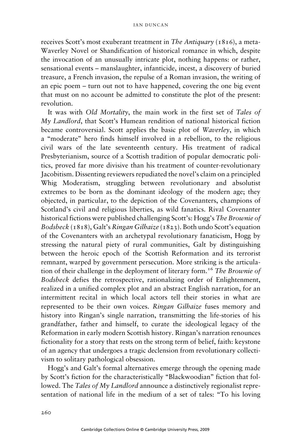receives Scott's most exuberant treatment in The Antiquary (1816), a meta-Waverley Novel or Shandification of historical romance in which, despite the invocation of an unusually intricate plot, nothing happens: or rather, sensational events – manslaughter, infanticide, incest, a discovery of buried treasure, a French invasion, the repulse of a Roman invasion, the writing of an epic poem – turn out not to have happened, covering the one big event that must on no account be admitted to constitute the plot of the present: revolution.

It was with Old Mortality, the main work in the first set of Tales of My Landlord, that Scott's Humean rendition of national historical fiction became controversial. Scott applies the basic plot of Waverley, in which a ''moderate'' hero finds himself involved in a rebellion, to the religious civil wars of the late seventeenth century. His treatment of radical Presbyterianism, source of a Scottish tradition of popular democratic politics, proved far more divisive than his treatment of counter-revolutionary Jacobitism. Dissenting reviewers repudiated the novel's claim on a principled Whig Moderatism, struggling between revolutionary and absolutist extremes to be born as the dominant ideology of the modern age; they objected, in particular, to the depiction of the Covenanters, champions of Scotland's civil and religious liberties, as wild fanatics. Rival Covenanter historical fictions were published challenging Scott's: Hogg's The Brownie of Bodsbeck (1818), Galt's Ringan Gilhaize (1823). Both undo Scott's equation of the Covenanters with an archetypal revolutionary fanaticism, Hogg by stressing the natural piety of rural communities, Galt by distinguishing between the heroic epoch of the Scottish Reformation and its terrorist remnant, warped by government persecution. More striking is the articulation of their challenge in the deployment of literary form.<sup>16</sup> The Brownie of Bodsbeck defies the retrospective, rationalizing order of Enlightenment, realized in a unified complex plot and an abstract English narration, for an intermittent recital in which local actors tell their stories in what are represented to be their own voices. Ringan Gilhaize fuses memory and history into Ringan's single narration, transmitting the life-stories of his grandfather, father and himself, to curate the ideological legacy of the Reformation in early modern Scottish history. Ringan's narration renounces fictionality for a story that rests on the strong term of belief, faith: keystone of an agency that undergoes a tragic declension from revolutionary collectivism to solitary pathological obsession.

Hogg's and Galt's formal alternatives emerge through the opening made by Scott's fiction for the characteristically ''Blackwoodian'' fiction that followed. The Tales of My Landlord announce a distinctively regionalist representation of national life in the medium of a set of tales: ''To his loving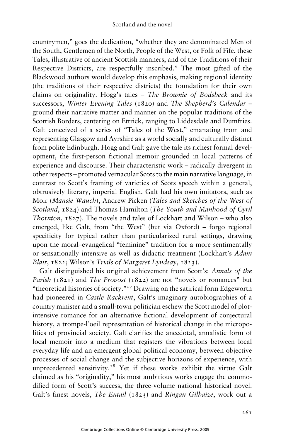countrymen,'' goes the dedication, ''whether they are denominated Men of the South, Gentlemen of the North, People of the West, or Folk of Fife, these Tales, illustrative of ancient Scottish manners, and of the Traditions of their Respective Districts, are respectfully inscribed.'' The most gifted of the Blackwood authors would develop this emphasis, making regional identity (the traditions of their respective districts) the foundation for their own claims on originality. Hogg's tales – The Brownie of Bodsbeck and its successors, Winter Evening Tales (1820) and The Shepherd's Calendar ground their narrative matter and manner on the popular traditions of the Scottish Borders, centering on Ettrick, ranging to Liddesdale and Dumfries. Galt conceived of a series of "Tales of the West," emanating from and representing Glasgow and Ayrshire as a world socially and culturally distinct from polite Edinburgh. Hogg and Galt gave the tale its richest formal development, the first-person fictional memoir grounded in local patterns of experience and discourse. Their characteristic work – radically divergent in other respects – promoted vernacular Scots to the main narrative language, in contrast to Scott's framing of varieties of Scots speech within a general, obtrusively literary, imperial English. Galt had his own imitators, such as Moir (Mansie Wauch), Andrew Picken (Tales and Sketches of the West of Scotland, 1824) and Thomas Hamilton (The Youth and Manhood of Cyril Thornton,  $1827$ ). The novels and tales of Lockhart and Wilson – who also emerged, like Galt, from "the West" (but via Oxford) – forgo regional specificity for typical rather than particularized rural settings, drawing upon the moral–evangelical ''feminine'' tradition for a more sentimentally or sensationally intensive as well as didactic treatment (Lockhart's Adam Blair, 1822; Wilson's Trials of Margaret Lyndsay, 1823).

Galt distinguished his original achievement from Scott's: Annals of the *Parish* (1821) and *The Provost* (1822) are not "novels or romances" but "theoretical histories of society."<sup>17</sup> Drawing on the satirical form Edgeworth had pioneered in Castle Rackrent, Galt's imaginary autobiographies of a country minister and a small-town politician eschew the Scott model of plotintensive romance for an alternative fictional development of conjectural history, a trompe-l'oeil representation of historical change in the micropolitics of provincial society. Galt clarifies the anecdotal, annalistic form of local memoir into a medium that registers the vibrations between local everyday life and an emergent global political economy, between objective processes of social change and the subjective horizons of experience, with unprecedented sensitivity.<sup>18</sup> Yet if these works exhibit the virtue Galt claimed as his "originality," his most ambitious works engage the commodified form of Scott's success, the three-volume national historical novel. Galt's finest novels, The Entail  $(1823)$  and Ringan Gilhaize, work out a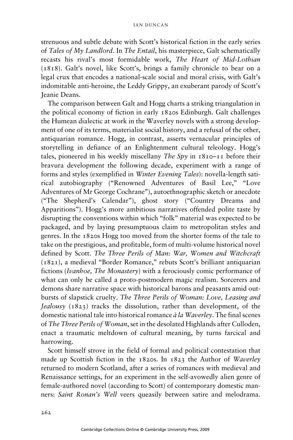strenuous and subtle debate with Scott's historical fiction in the early series of Tales of My Landlord. In The Entail, his masterpiece, Galt schematically recasts his rival's most formidable work, The Heart of Mid-Lothian (1818). Galt's novel, like Scott's, brings a family chronicle to bear on a legal crux that encodes a national-scale social and moral crisis, with Galt's indomitable anti-heroine, the Leddy Grippy, an exuberant parody of Scott's Jeanie Deans.

The comparison between Galt and Hogg charts a striking triangulation in the political economy of fiction in early 1820s Edinburgh. Galt challenges the Humean dialectic at work in the Waverley novels with a strong development of one of its terms, materialist social history, and a refusal of the other, antiquarian romance. Hogg, in contrast, asserts vernacular principles of storytelling in defiance of an Enlightenment cultural teleology. Hogg's tales, pioneered in his weekly miscellany *The Spy* in  $1810 - 11$  before their bravura development the following decade, experiment with a range of forms and styles (exemplified in Winter Evening Tales): novella-length satirical autobiography (''Renowned Adventures of Basil Lee,'' ''Love Adventures of Mr George Cochrane''), autoethnographic sketch or anecdote (''The Shepherd's Calendar''), ghost story (''Country Dreams and Apparitions''). Hogg's more ambitious narratives offended polite taste by disrupting the conventions within which "folk" material was expected to be packaged, and by laying presumptuous claim to metropolitan styles and genres. In the 1820s Hogg too moved from the shorter forms of the tale to take on the prestigious, and profitable, form of multi-volume historical novel defined by Scott. The Three Perils of Man: War, Women and Witchcraft (1821), a medieval ''Border Romance,'' rebuts Scott's brilliant antiquarian fictions (Ivanhoe, The Monastery) with a ferociously comic performance of what can only be called a proto-postmodern magic realism. Sorcerers and demons share narrative space with historical barons and peasants amid outbursts of slapstick cruelty. The Three Perils of Woman: Love, Leasing and Jealousy (1823) tracks the dissolution, rather than development, of the domestic national tale into historical romance  $\dot{a}$  la Waverley. The final scenes of The Three Perils of Woman, set in the desolated Highlands after Culloden, enact a traumatic meltdown of cultural meaning, by turns farcical and harrowing.

Scott himself strove in the field of formal and political contestation that made up Scottish fiction in the 1820s. In 1823 the Author of Waverley returned to modern Scotland, after a series of romances with medieval and Renaissance settings, for an experiment in the self-avowedly alien genre of female-authored novel (according to Scott) of contemporary domestic manners: Saint Ronan's Well veers queasily between satire and melodrama.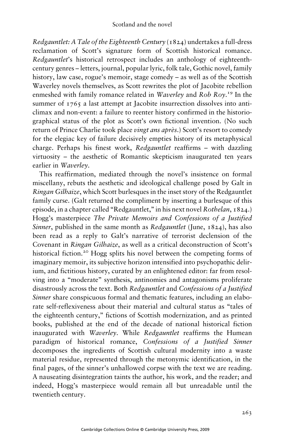# Scotland and the novel

Redgauntlet: A Tale of the Eighteenth Century  $(1824)$  undertakes a full-dress reclamation of Scott's signature form of Scottish historical romance. Redgauntlet's historical retrospect includes an anthology of eighteenthcentury genres – letters, journal, popular lyric, folk tale, Gothic novel, family history, law case, rogue's memoir, stage comedy – as well as of the Scottish Waverley novels themselves, as Scott rewrites the plot of Jacobite rebellion enmeshed with family romance related in Waverley and Rob Roy.<sup>19</sup> In the summer of 1765 a last attempt at Jacobite insurrection dissolves into anticlimax and non-event: a failure to reenter history confirmed in the historiographical status of the plot as Scott's own fictional invention. (No such return of Prince Charlie took place *vingt ans après*.) Scott's resort to comedy for the elegiac key of failure decisively empties history of its metaphysical charge. Perhaps his finest work, Redgauntlet reaffirms – with dazzling virtuosity – the aesthetic of Romantic skepticism inaugurated ten years earlier in Waverley.

This reaffirmation, mediated through the novel's insistence on formal miscellany, rebuts the aesthetic and ideological challenge posed by Galt in Ringan Gilhaize, which Scott burlesques in the inset story of the Redgauntlet family curse. (Galt returned the compliment by inserting a burlesque of this episode, in a chapter called "Redgauntlet," in his next novel Rothelan, 1824.) Hogg's masterpiece The Private Memoirs and Confessions of a Justified Sinner, published in the same month as *Redgauntlet* (June, 1824), has also been read as a reply to Galt's narrative of terrorist declension of the Covenant in Ringan Gilhaize, as well as a critical deconstruction of Scott's historical fiction.<sup>20</sup> Hogg splits his novel between the competing forms of imaginary memoir, its subjective horizon intensified into psychopathic delirium, and fictitious history, curated by an enlightened editor: far from resolving into a ''moderate'' synthesis, antinomies and antagonisms proliferate disastrously across the text. Both Redgauntlet and Confessions of a Justified Sinner share conspicuous formal and thematic features, including an elaborate self-reflexiveness about their material and cultural status as ''tales of the eighteenth century,'' fictions of Scottish modernization, and as printed books, published at the end of the decade of national historical fiction inaugurated with Waverley. While Redgauntlet reaffirms the Humean paradigm of historical romance, Confessions of a Justified Sinner decomposes the ingredients of Scottish cultural modernity into a waste material residue, represented through the metonymic identification, in the final pages, of the sinner's unhallowed corpse with the text we are reading. A nauseating disintegration taints the author, his work, and the reader; and indeed, Hogg's masterpiece would remain all but unreadable until the twentieth century.